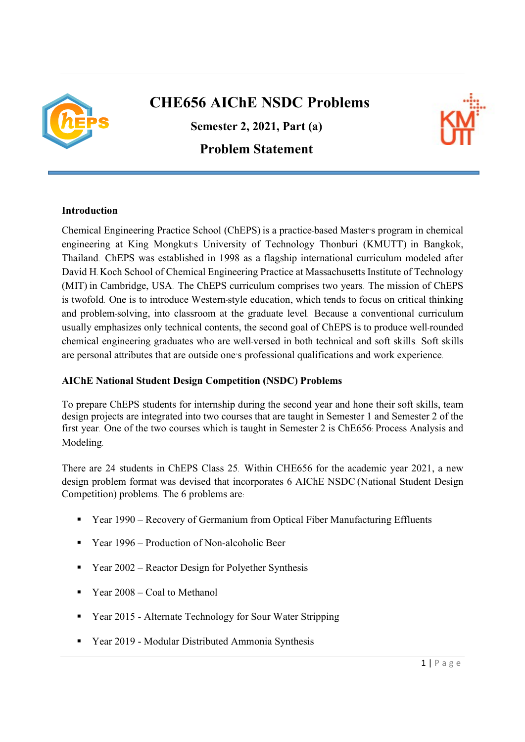

## CHE656 AIChE NSDC Problems

Semester 2, 2021, Part (a)

Problem Statement



## Introduction

Chemical Engineering Practice School (ChEPS) is a practice-based Master's program in chemical engineering at King Mongkut's University of Technology Thonburi (KMUTT) in Bangkok, Thailand. ChEPS was established in 1998 as a flagship international curriculum modeled after David H. Koch School of Chemical Engineering Practice at Massachusetts Institute of Technology (MIT) in Cambridge, USA. The ChEPS curriculum comprises two years. The mission of ChEPS is twofold. One is to introduce Western-style education, which tends to focus on critical thinking and problem-solving, into classroom at the graduate level. Because a conventional curriculum usually emphasizes only technical contents, the second goal of ChEPS is to produce well-rounded chemical engineering graduates who are well-versed in both technical and soft skills. Soft skills are personal attributes that are outside one's professional qualifications and work experience.

## AIChE National Student Design Competition (NSDC) Problems

To prepare ChEPS students for internship during the second year and hone their soft skills, team design projects are integrated into two courses that are taught in Semester 1 and Semester 2 of the first year. One of the two courses which is taught in Semester 2 is ChE656: Process Analysis and Modeling.

There are 24 students in ChEPS Class 25. Within CHE656 for the academic year 2021, a new design problem format was devised that incorporates 6 AIChE NSDC (National Student Design Competition) problems. The 6 problems are:

- Year 1990 Recovery of Germanium from Optical Fiber Manufacturing Effluents
- Year 1996 Production of Non-alcoholic Beer
- $\blacksquare$  Year 2002 Reactor Design for Polyether Synthesis
- Year 2008 Coal to Methanol
- Year 2015 Alternate Technology for Sour Water Stripping
- Year 2019 Modular Distributed Ammonia Synthesis